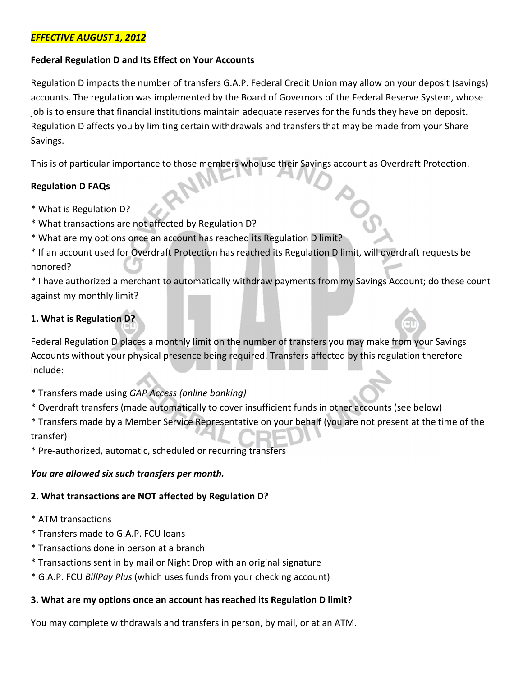## EFFECTIVE AUGUST 1, 2012

#### Federal Regulation D and Its Effect on Your Accounts

Regulation D impacts the number of transfers G.A.P. Federal Credit Union may allow on your deposit (savings) accounts. The regulation was implemented by the Board of Governors of the Federal Reserve System, whose job is to ensure that financial institutions maintain adequate reserves for the funds they have on deposit. Regulation D affects you by limiting certain withdrawals and transfers that may be made from your Share Savings.

This is of particular importance to those members who use their Savings account as Overdraft Protection.

### Regulation D FAQs

- \* What is Regulation D?
- \* What transactions are not affected by Regulation D?
- \* What are my options once an account has reached its Regulation D limit?
- \* If an account used for Overdraft Protection has reached its Regulation D limit, will overdraft requests be honored?

\* I have authorized a merchant to automatically withdraw payments from my Savings Account; do these count against my monthly limit?

**POS** 

## 1. What is Regulation D?

Federal Regulation D places a monthly limit on the number of transfers you may make from your Savings Accounts without your physical presence being required. Transfers affected by this regulation therefore include:

- \* Transfers made using GAP Access (online banking)
- \* Overdraft transfers (made automatically to cover insufficient funds in other accounts (see below)

\* Transfers made by a Member Service Representative on your behalf (you are not present at the time of the transfer)

\* Pre-authorized, automatic, scheduled or recurring transfers

#### You are allowed six such transfers per month.

#### 2. What transactions are NOT affected by Regulation D?

- \* ATM transactions
- \* Transfers made to G.A.P. FCU loans
- \* Transactions done in person at a branch
- \* Transactions sent in by mail or Night Drop with an original signature
- \* G.A.P. FCU BillPay Plus (which uses funds from your checking account)

#### 3. What are my options once an account has reached its Regulation D limit?

You may complete withdrawals and transfers in person, by mail, or at an ATM.